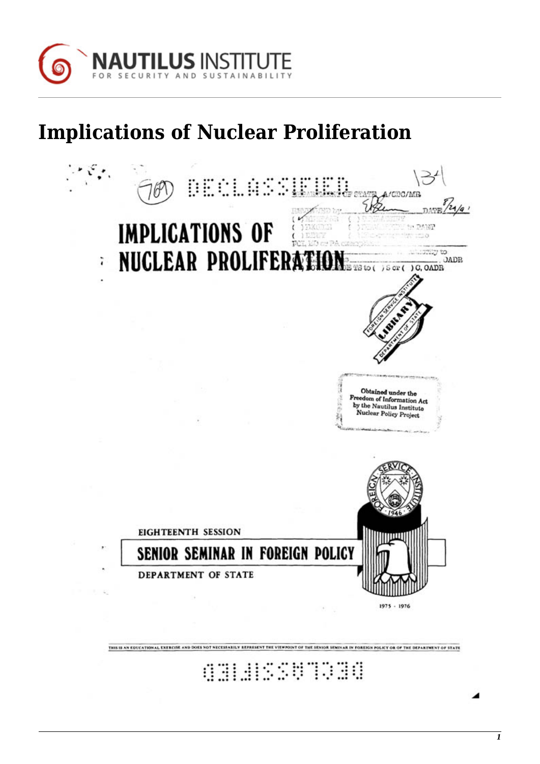

## **Implications of Nuclear Proliferation**